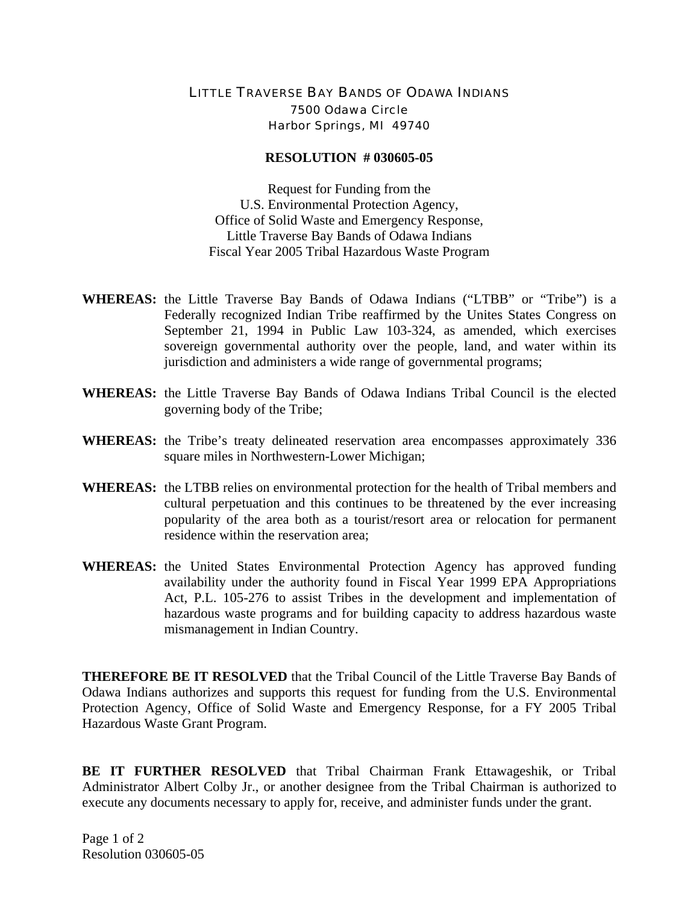## LITTLE TRAVERSE BAY BANDS OF ODAWA INDIANS 7500 Odawa Circle Harbor Springs, MI 49740

## **RESOLUTION # 030605-05**

Request for Funding from the U.S. Environmental Protection Agency, Office of Solid Waste and Emergency Response, Little Traverse Bay Bands of Odawa Indians Fiscal Year 2005 Tribal Hazardous Waste Program

- **WHEREAS:** the Little Traverse Bay Bands of Odawa Indians ("LTBB" or "Tribe") is a Federally recognized Indian Tribe reaffirmed by the Unites States Congress on September 21, 1994 in Public Law 103-324, as amended, which exercises sovereign governmental authority over the people, land, and water within its jurisdiction and administers a wide range of governmental programs;
- **WHEREAS:** the Little Traverse Bay Bands of Odawa Indians Tribal Council is the elected governing body of the Tribe;
- **WHEREAS:** the Tribe's treaty delineated reservation area encompasses approximately 336 square miles in Northwestern-Lower Michigan;
- **WHEREAS:** the LTBB relies on environmental protection for the health of Tribal members and cultural perpetuation and this continues to be threatened by the ever increasing popularity of the area both as a tourist/resort area or relocation for permanent residence within the reservation area;
- **WHEREAS:** the United States Environmental Protection Agency has approved funding availability under the authority found in Fiscal Year 1999 EPA Appropriations Act, P.L. 105-276 to assist Tribes in the development and implementation of hazardous waste programs and for building capacity to address hazardous waste mismanagement in Indian Country.

**THEREFORE BE IT RESOLVED** that the Tribal Council of the Little Traverse Bay Bands of Odawa Indians authorizes and supports this request for funding from the U.S. Environmental Protection Agency, Office of Solid Waste and Emergency Response, for a FY 2005 Tribal Hazardous Waste Grant Program.

**BE IT FURTHER RESOLVED** that Tribal Chairman Frank Ettawageshik, or Tribal Administrator Albert Colby Jr., or another designee from the Tribal Chairman is authorized to execute any documents necessary to apply for, receive, and administer funds under the grant.

Page 1 of 2 Resolution 030605-05